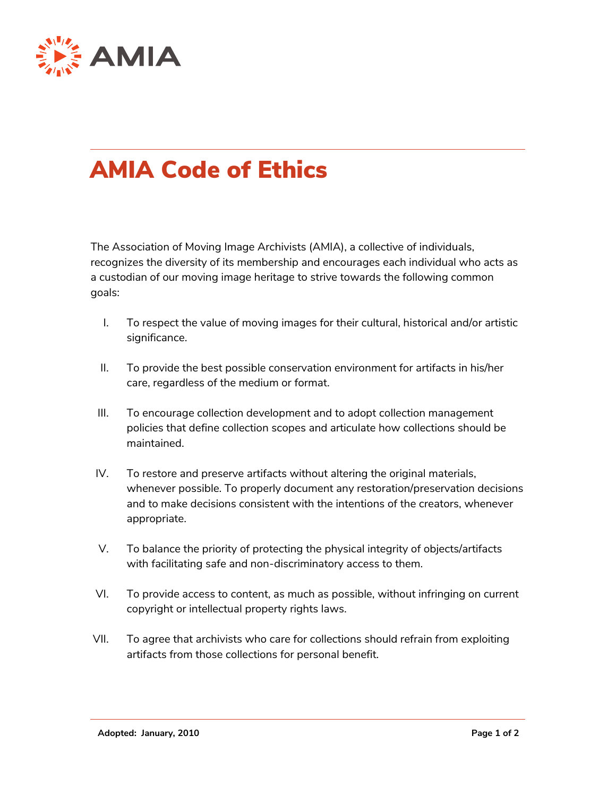

## AMIA Code of Ethics

The Association of Moving Image Archivists (AMIA), a collective of individuals, recognizes the diversity of its membership and encourages each individual who acts as a custodian of our moving image heritage to strive towards the following common goals:

- I. To respect the value of moving images for their cultural, historical and/or artistic significance.
- II. To provide the best possible conservation environment for artifacts in his/her care, regardless of the medium or format.
- III. To encourage collection development and to adopt collection management policies that define collection scopes and articulate how collections should be maintained.
- IV. To restore and preserve artifacts without altering the original materials, whenever possible. To properly document any restoration/preservation decisions and to make decisions consistent with the intentions of the creators, whenever appropriate.
- V. To balance the priority of protecting the physical integrity of objects/artifacts with facilitating safe and non-discriminatory access to them.
- VI. To provide access to content, as much as possible, without infringing on current copyright or intellectual property rights laws.
- VII. To agree that archivists who care for collections should refrain from exploiting artifacts from those collections for personal benefit.